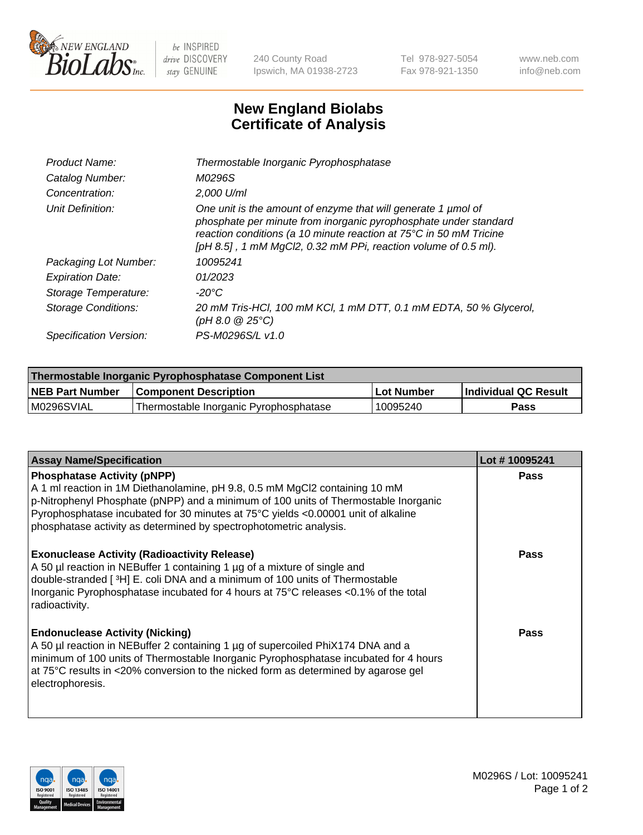

 $be$  INSPIRED drive DISCOVERY stay GENUINE

240 County Road Ipswich, MA 01938-2723 Tel 978-927-5054 Fax 978-921-1350 www.neb.com info@neb.com

## **New England Biolabs Certificate of Analysis**

| Product Name:              | Thermostable Inorganic Pyrophosphatase                                                                                                                                                                                                                                    |
|----------------------------|---------------------------------------------------------------------------------------------------------------------------------------------------------------------------------------------------------------------------------------------------------------------------|
| Catalog Number:            | M0296S                                                                                                                                                                                                                                                                    |
| Concentration:             | 2,000 U/ml                                                                                                                                                                                                                                                                |
| Unit Definition:           | One unit is the amount of enzyme that will generate 1 µmol of<br>phosphate per minute from inorganic pyrophosphate under standard<br>reaction conditions (a 10 minute reaction at 75°C in 50 mM Tricine<br>[pH 8.5], 1 mM MgCl2, 0.32 mM PPi, reaction volume of 0.5 ml). |
| Packaging Lot Number:      | 10095241                                                                                                                                                                                                                                                                  |
| <b>Expiration Date:</b>    | 01/2023                                                                                                                                                                                                                                                                   |
| Storage Temperature:       | $-20^{\circ}$ C                                                                                                                                                                                                                                                           |
| <b>Storage Conditions:</b> | 20 mM Tris-HCl, 100 mM KCl, 1 mM DTT, 0.1 mM EDTA, 50 % Glycerol,<br>$(pH 8.0 \ @ 25^{\circ}C)$                                                                                                                                                                           |
| Specification Version:     | PS-M0296S/L v1.0                                                                                                                                                                                                                                                          |

| Thermostable Inorganic Pyrophosphatase Component List |                                        |            |                             |  |
|-------------------------------------------------------|----------------------------------------|------------|-----------------------------|--|
| <b>NEB Part Number</b>                                | <b>Component Description</b>           | Lot Number | <b>Individual QC Result</b> |  |
| M0296SVIAL                                            | Thermostable Inorganic Pyrophosphatase | 10095240   | Pass                        |  |

| <b>Assay Name/Specification</b>                                                                                                                                                                                                                                                                                                                                     | Lot #10095241 |
|---------------------------------------------------------------------------------------------------------------------------------------------------------------------------------------------------------------------------------------------------------------------------------------------------------------------------------------------------------------------|---------------|
| <b>Phosphatase Activity (pNPP)</b><br>A 1 ml reaction in 1M Diethanolamine, pH 9.8, 0.5 mM MgCl2 containing 10 mM<br>p-Nitrophenyl Phosphate (pNPP) and a minimum of 100 units of Thermostable Inorganic<br>Pyrophosphatase incubated for 30 minutes at 75°C yields <0.00001 unit of alkaline<br>phosphatase activity as determined by spectrophotometric analysis. | <b>Pass</b>   |
| <b>Exonuclease Activity (Radioactivity Release)</b><br>A 50 µl reaction in NEBuffer 1 containing 1 µg of a mixture of single and<br>double-stranded [ <sup>3</sup> H] E. coli DNA and a minimum of 100 units of Thermostable<br>Inorganic Pyrophosphatase incubated for 4 hours at 75°C releases <0.1% of the total<br>radioactivity.                               | <b>Pass</b>   |
| <b>Endonuclease Activity (Nicking)</b><br>A 50 µl reaction in NEBuffer 2 containing 1 µg of supercoiled PhiX174 DNA and a<br>minimum of 100 units of Thermostable Inorganic Pyrophosphatase incubated for 4 hours<br>at 75°C results in <20% conversion to the nicked form as determined by agarose gel<br>electrophoresis.                                         | <b>Pass</b>   |